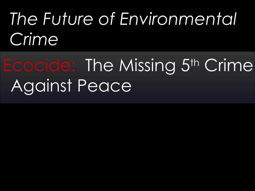# *The Future of Environmental Crime*

# Ecocide: The Missing 5th Crime Against Peace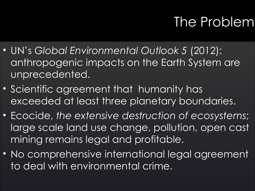# The Problem

- UN's *Global Environmental Outlook 5* (2012): anthropogenic impacts on the Earth System are unprecedented.
- Scientific agreement that humanity has exceeded at least three planetary boundaries.
- Ecocide, *the extensive destruction of ecosystems*; large scale land use change, pollution, open cast mining remains legal and profitable.
- No comprehensive international legal agreement to deal with environmental crime.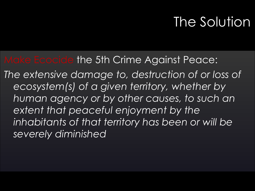# The Solution

#### Make Ecocide the 5th Crime Against Peace:

*The extensive damage to, destruction of or loss of ecosystem(s) of a given territory, whether by human agency or by other causes, to such an extent that peaceful enjoyment by the inhabitants of that territory has been or will be severely diminished*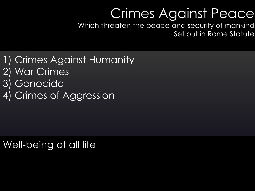## Crimes Against Peace

Which threaten the peace and security of mankind Set out in Rome Statute

1) Crimes Against Humanity 2) War Crimes 3) Genocide 4) Crimes of Aggression

### Well-being of all life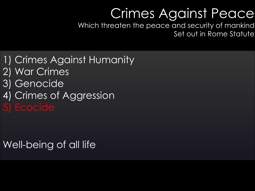## Crimes Against Peace

Which threaten the peace and security of mankind Set out in Rome Statute

1) Crimes Against Humanity 2) War Crimes 3) Genocide 4) Crimes of Aggression

#### Well-being of all life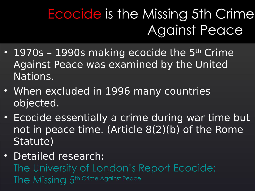# Ecocide is the Missing 5th Crime Against Peace

- 1970s 1990s making ecocide the  $5<sup>th</sup>$  Crime Against Peace was examined by the United Nations.
- When excluded in 1996 many countries objected.
- Ecocide essentially a crime during war time but not in peace time. (Article 8(2)(b) of the Rome Statute)
- Detailed research: [The University of London's Report Ecocide:](http://www.sas.ac.uk/sites/default/files/files/hrc/Events%20Documents/Ecocide%20is%20the%20missing%205th%20Crime%20Against%20Peace.pdf)  [The Missing 5](http://www.sas.ac.uk/sites/default/files/files/hrc/Events%20Documents/Ecocide%20is%20the%20missing%205th%20Crime%20Against%20Peace.pdf)[th Crime Against Peace](http://www.sas.ac.uk/sites/default/files/files/hrc/Events%20Documents/Ecocide%20is%20the%20missing%205th%20Crime%20Against%20Peace.pdf)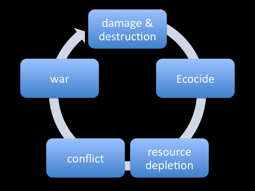### damage & destruction

#### war

### **Ecocide**

#### conflict

### resource depletion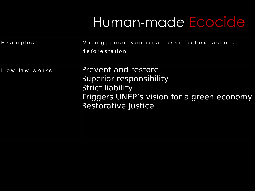# Human-made Ecocide

| Examples      | Mining, unconventional fossil fuel extraction,<br>deforestation                                                                                       |
|---------------|-------------------------------------------------------------------------------------------------------------------------------------------------------|
| How law works | Prevent and restore<br>Superior responsibility<br><b>Strict liability</b><br>Triggers UNEP's vision for a green economy<br><b>Restorative Justice</b> |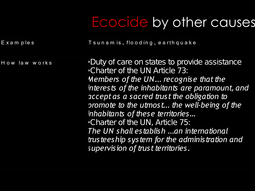# Ecocide by other causes

E x a m p le s T su n a m is, flood in g, e a r th q u a k e

H ow law works **•Duty of care on states to provide assistance** •Charter of the UN Article 73: *Members of the UN... recognise that the interests of the inhabitants are paramount, and accept as a sacred trust the obligation to promote to the utmost... the well-being of the inhabitants of these territories…*  •Charter of the UN, Article 75: *The UN shall establish ...an international trusteeship system for the administration and supervision of trust territories.*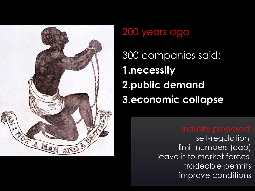

#### 200 years ago

300 companies said: **1.necessity 2.public demand 3.economic collapse**

self-regulation limit numbers (cap) leave it to market forces tradeable permits improve conditions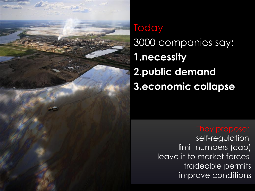

## **Today** 3000 companies say: **1.necessity 2.public demand 3.economic collapse**

self-regulation limit numbers (cap) leave it to market forces tradeable permits improve conditions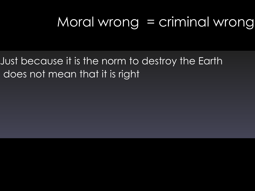# Moral wrong = criminal wrong

Just because it is the norm to destroy the Earth does not mean that it is right